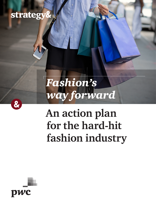# strategy&

# *Fashion's way forward*

# **An action plan for the hard-hit fashion industry**



&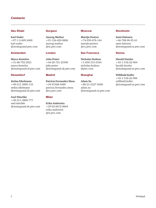### *Contacts*

### Abu Dhabi

**Karl Nader**  +97-1-2-699-2400 [karl.nader](mailto:karl.nader%40strategyand.pwc.com?subject=) [@strategyand.pwc.com](mailto:karl.nader%40strategyand.pwc.com?subject=)

### Amsterdam

**Marco Kesteloo** +31-88-792-2921 [marco.kesteloo](mailto:marco.kesteloo%40strategyand.nl.pwc.com?subject=) [@strategyand.nl.pwc.com](mailto:marco.kesteloo%40strategyand.nl.pwc.com?subject=)

### Düsseldorf

**Stefan Eikelmann**  +49-211-3890-110 [stefan.eikelmann](mailto:stefan.eikelmann%40strategyand.de.pwc.com?subject=) [@strategyand.de.pwc.com](mailto:stefan.eikelmann%40strategyand.de.pwc.com?subject=)

**Axel Nitschke** +49-211-3890-777 [axel.nitschke](mailto:axel.nitschke%40strategyand.de.pwc.com?subject=) [@strategyand.de.pwc.com](mailto:axel.nitschke%40strategyand.de.pwc.com?subject=)

#### Gurgaon

**Anurag Mathur** +91-124-429-0806 [anurag.mathur](mailto:anurag.mathur%40in.pwc.com?subject=) [@in.pwc.com](mailto:anurag.mathur%40in.pwc.com?subject=)

### London

**John Potter**  +44-20-721-25390 [john.potter](mailto:john.potter%40strategyand.uk.pwc.com?subject=) [@strategyand.uk.pwc.com](mailto:john.potter%40strategyand.uk.pwc.com?subject=)

### Madrid

**Patricia Fernandez Mesa**  +34-91568-4490 [patricia.fernandez.mesa](mailto:patricia.fernandez.mesa%40es.pwc.com?subject=) [@es.pwc.com](mailto:patricia.fernandez.mesa%40es.pwc.com?subject=)

### Milan

**Erika Andreetta** +39-02-6672-0664 [erika.andreetta](mailto:erika.andreetta%40it.pwc.com?subject=) [@it.pwc.com](mailto:erika.andreetta%40it.pwc.com?subject=)

### Moscow

**Martijn Peeters** +74-959-676-144 [martijn.peeters](mailto:martijn.peeters%40ru.pwc.com?subject=) [@ru.pwc.com](mailto:martijn.peeters%40ru.pwc.com?subject=)

### San Francisco

**Nicholas Hodson** +1-650-315-5344 [nicholas.hodson](mailto:nicholas.hodson%40pwc.com?subject=) [@pwc.com](mailto:nicholas.hodson%40pwc.com?subject=)

### Shanghai

**Adam Xu** +86-21-2327-5600 [adam.xu](mailto:adam.xu%40strategyand.cn.pwc.com?subject=) [@strategyand.cn.pwc.com](mailto:adam.xu%40strategyand.cn.pwc.com?subject=)

### Stockholm

**Sami Halonen**  +46-708-96-95-61 [sami.halonen](mailto:sami.halonen%40strategyand.se.pwc.com?subject=) @strategyand.se.pwc.com

### Vienna

**Harald Dutzler**  +43-1-518-22-904 [harald.dutzler](mailto:harald.dutzler%40strategyand.at.pwc.com?subject=) [@strategyand.at.pwc.com](mailto:harald.dutzler%40strategyand.at.pwc.com?subject=)

**Willibald Kofler**  +43-1-518-22-906 [willibald.kofler](mailto:willibald.kofler%40strategyand.at.pwc.com?subject=) [@strategyand.at.pwc.com](mailto:willibald.kofler%40strategyand.at.pwc.com?subject=)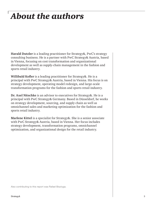# *About the authors*

**Harald Dutzler** is a leading practitioner for Strategy&, PwC's strategy consulting business. He is a partner with PwC Strategy& Austria, based in Vienna, focusing on cost transformation and organizational development as well as supply-chain management in the fashion and sports retail industry.

**Willibald Kofler** is a leading practitioner for Strategy&. He is a principal with PwC Strategy& Austria, based in Vienna. His focus is on strategy development, operating model redesign, and large-scale transformation programs for the fashion and sports retail industry.

**Dr. Axel Nitschke** is an advisor to executives for Strategy&. He is a principal with PwC Strategy& Germany. Based in Düsseldorf, he works on strategy development, sourcing, and supply chain as well as omnichannel sales and marketing optimization for the fashion and sports retail industry.

**Marlene Kittel** is a specialist for Strategy&. She is a senior associate with PwC Strategy& Austria, based in Vienna. Her focus includes strategy development, transformation programs, omnichannel optimization, and organizational design for the retail industry.

Also contributing to this report was Rafael Bisztyga.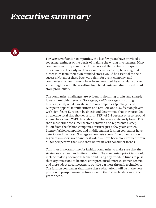# *Executive summary*

 $\boldsymbol{\alpha}$ 

**For Western fashion companies,** the last few years have provided a sobering reminder of the perils of making the wrong investments. Many companies in Europe and the U.S. increased their retail store space; others invested heavily in their e-commerce websites, believing that direct sales from their own branded stores would be essential to their success. Not all of these bets were right for every company, and companies that got it wrong have been penalized heavily. Many of them are struggling with the resulting high fixed costs and diminished retail store productivity.

The companies' challenges are evident in declining profits and sharply lower shareholder returns. Strategy&, PwC's strategy consulting business, analyzed 41 Western fashion companies (publicly listed European apparel manufacturers and retailers and U.S. fashion players with significant European business) and determined that they provided an average total shareholder return (TSR) of 5.8 percent on a compound annual basis from 2013 through 2015. That is a significantly lower TSR than most other consumer sectors achieved and represents a steep falloff from the fashion companies' returns just a few years earlier. Luxury fashion companies and middle-market fashion companies have deteriorated the most, Strategy&'s analysis shows. Two other fashion segments — sportswear and best value — have been more resilient from a TSR perspective thanks to their better fit with consumer trends.

This is an important time for fashion companies to make sure that their strategies are clear and differentiating. The companies' priorities should include making operations leaner and using any freed-up funds to push their organizations to be more entrepreneurial, more customer-centric, and more adept at connecting to outside partners through technology. The fashion companies that make these adaptations will be in the best position to prosper — and return more to their shareholders — in the years ahead.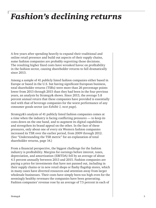# *Fashion's declining returns*

A few years after spending heavily to expand their traditional and online retail presence and build out aspects of their supply chains, some fashion companies are probably regretting those decisions. The resulting higher fixed costs have wreaked havoc on profitability in the fashion sector, causing shareholder returns to fall dramatically since 2013.

Among a sample of 41 publicly listed fashion companies either based in Europe or based in the U.S. but having significant European business, total shareholder returns (TSRs) were more than 26 percentage points lower from 2013 through 2015 than they had been in the four previous years, an analysis by Strategy& shows. Since 2013, the average 5.8 percent annual return that these companies have provided is essentially tied with that of beverage companies for the worst performance of any consumer goods sector (*see Exhibit 1, next page*).

Strategy&'s analysis of 41 publicly listed fashion companies comes at a time when the industry is facing conflicting pressures — to keep its costs down on the one hand, and to augment its digital capabilities and strengthen its brand appeal on the other. In the face of these pressures, only about one of every six Western fashion companies increased its TSR over the earlier period, from 2009 through 2012. (See "Understanding the TSR metric" for an explanation of total shareholder returns, page 14.)

From a financial perspective, the biggest challenge for the fashion industry is profitability. Margins for earnings before interest, taxes, depreciation, and amortization (EBITDA) fell by an average of about 4.5 percent annually between 2013 and 2015. Fashion companies are paying a price for investments that have not panned out, including in their supply chains or in new retail shops or flashy flagship stores, which in many cases have diverted resources and attention away from larger wholesale businesses. Their costs have simply been too high even for the seemingly healthy revenues the companies have been generating. Fashion companies' revenue rose by an average of 7.5 percent in each of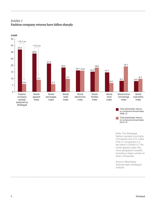



## *Exhibit 1* **Fashion company returns have fallen sharply**

Total shareholder returns, on compound annual basis, 2009–12

Total shareholder returns, on compound annual basis, 2013–15

Note: The Strategy& fashion sample is primarily a European and U.S. index. (The 41 companies in it are listed in Exhibit 4.) The world apparel index has more geographic breadth, including a large number of Asian companies.

Source: Bloomberg financial data; Strategy& analysis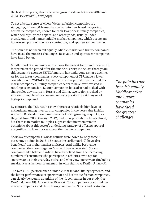the last three years, about the same growth rate as between 2009 and 2012 (*see Exhibit 2, next page*).

To get a better sense of where Western fashion companies are struggling, Strategy& broke the market into four broad categories: best-value companies, known for their low prices; luxury companies, which sell high-priced apparel and other goods, usually under prestigious brand names; middle-market companies, which occupy an in-between point on the price continuum; and sportswear companies.

The pain has not been felt equally. Middle-market and luxury companies have faced the greatest challenges. Best-value and sportswear companies have fared better.

Middle-market companies were among the fastest to expand their retail footprints in the period after the financial crisis; in the last three years, this segment's average EBITDA margin has undergone a sharp decline. As for the luxury companies, every component of TSR made a lower contribution in 2013–15 than in the previous period. Like the middlemarket companies, luxury companies seem to have overinvested in retail space expansion. Luxury companies have also had to deal with sharp sales downturns in Russia and China, two regions rocked by economic trouble whose consumers were previously avid buyers of high-priced apparel.

By contrast, the TSR results show there is a relatively high level of enthusiasm among investors for companies in the best-value fashion segment. Best-value companies have not been growing as quickly as they did from 2009 through 2012, and their profitability has declined, but the rise in market multiples suggests that investors remain optimistic about this sector's underlying strategy of offering apparel at significantly lower prices than other fashion companies.

Sportswear companies (whose returns were down by only some 4 percentage points in 2013–15 versus the earlier period) have also benefited from higher market multiples. And unlike best-value companies, the sports segment's growth has accelerated. Sports companies like Nike and Adidas have benefited from the increasing numbers of consumers who participate in athletics, who opt for sportswear as their everyday attire, and who view sportswear (including sneakers) as a fashion statement in its own right (*see Exhibit 3, page 9*).

The weak TSR performance of middle-market and luxury segments, and the better performance of sportswear and best-value fashion companies, can clearly be seen in a ranking of the 41 companies in our study (*see Exhibit 4, page 10*). Among the 10 worst TSR companies are six middlemarket companies and three luxury companies. Sports and best-value

*The pain has not been felt equally. Middle-market and luxury companies have faced the greatest challenges.*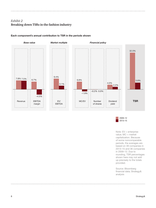## *Exhibit 2* **Breaking down TSRs in the fashion industry**

### Each component's annual contribution to TSR in the periods shown



2013–15 2009–12

Note: EV = enterprise value; MC = market capitalization. Because of some noncomparable periods, the averages are based on 39 companies in 2013–15 and 36 companies in 2009–12. Due to rounding, TSR percentages shown here may not add up precisely to the totals provided.

Source: Bloomberg financial data; Strategy& analysis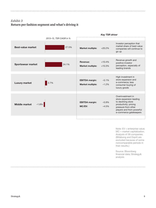## *Exhibit 3* **Return per fashion segment and what's driving it**

|                                 |                        | <b>Key TSR driver</b>                            |                      |                                                                                                                                                                           |
|---------------------------------|------------------------|--------------------------------------------------|----------------------|---------------------------------------------------------------------------------------------------------------------------------------------------------------------------|
|                                 | 2013-15, TSR CAGR in % |                                                  |                      |                                                                                                                                                                           |
| <b>Best-value market</b>        | 27.5%                  | <b>Market multiple:</b>                          | $+20.2%$             | Investor perception that<br>market share of best-value<br>companies will continue to<br>go up                                                                             |
|                                 |                        |                                                  |                      |                                                                                                                                                                           |
| <b>Sportswear market</b>        | 24.1%                  | Revenue:<br><b>Market multiple:</b>              | $+10.4%$<br>$+10.3%$ | Revenue growth and<br>positive investor<br>perception, especially of<br>leading brands                                                                                    |
|                                 |                        |                                                  |                      |                                                                                                                                                                           |
| <b>Luxury market</b>            | 2.7%                   | <b>EBITDA</b> margin:<br><b>Market multiple:</b> | $-5.1%$<br>$-1.2%$   | High investment in<br>store expansion and<br>e-commerce; less<br>consumer buying of<br>luxury goods                                                                       |
|                                 |                        |                                                  |                      |                                                                                                                                                                           |
| <b>Middle market</b><br>$-1.8%$ |                        | <b>EBITDA</b> margin:<br>MC/EV:                  | $-5.9%$<br>$-4.5%$   | Overinvestment in<br>store expansion leading<br>to declining store<br>productivity; pricing<br>pressure from other<br>players and from powerful<br>e-commerce gatekeepers |
|                                 |                        |                                                  |                      |                                                                                                                                                                           |

Note: EV = enterprise value; MC = market capitalization. Analysis of 39 companies. (Billabong and Esprit are excluded because of some noncomparable periods in their results.)

Source: Bloomberg financial data; Strategy& analysis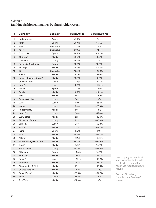## *Exhibit 4* **Ranking fashion companies by shareholder return**

| #              | Company                   | <b>Segment</b>    | TSR 2013-15 | ∆ TSR 2009-12 |
|----------------|---------------------------|-------------------|-------------|---------------|
| 1              | <b>Under Armour</b>       | Sports            | 49.2%       | 7.2%          |
| $\overline{c}$ | Nike*                     | Sports            | 35.4%       | 14.7%         |
| 3              | Adler                     | Best value        | 32.5%       | n/a           |
| 4              | $ABF^*$                   | <b>Best value</b> | 30.1%       | 7.2%          |
| 5              | Foot Locker               | Sports            | 28.2%       | $-19.2%$      |
| 6              | IC Group*                 | Middle            | 26.7%       | $-9.3%$       |
| 7              | Luxottica                 | Luxury            | 26.6%       | $=$           |
| 8              | Columbia Sportswear       | Sports            | 23.6%       | 10.5%         |
| 9              | VF Corp.                  | Middle            | 20.2%       | $-10.8%$      |
| 10             | <b>TJX</b>                | <b>Best value</b> | 19.8%       | $-23.9%$      |
| 11             | Inditex                   | Middle            | 16.2%       | $-21.0%$      |
| 12             | Hennes & Mauritz (H&M)*   | Middle            | 13.8%       | $-0.3%$       |
| 13             | Christian Dior*           | Luxury            | 13.1%       | $-22.7%$      |
| 14             | Hermès                    | Luxury            | 12.8%       | $-11.2%$      |
| 15             | Adidas                    | Sports            | 11.9%       | $-14.9%$      |
| 16             | Calida                    | Middle            | 10.7%       | $-14.2%$      |
| 17             | Asos*                     | Middle            | 8.6%        | $-73.0%$      |
| 18             | <b>Brunello Cucinelli</b> | Luxury            | 7.6%        | n/a           |
| 19             | <b>LVMH</b>               | Luxury            | 7.1%        | $-25.4%$      |
| 20             | Kering                    | Luxury            | 6.9%        | $-28.0%$      |
| 21             | Hudson's Bay              | Middle            | 4.0%        | n/a           |
| 22             | Hugo Boss                 | Luxury            | 2.8%        | $-47.0%$      |
| 23             | Ludwig Beck               | Middle            | 2.2%        | $-32.6%$      |
| 24             | <b>Richemont Group</b>    | Luxury            | 2.1%        | $-35.6%$      |
| 25             | Burberry                  | Luxury            | 2.1%        | $-53.8%$      |
| 26             | Wolford*                  | Middle            | 0.1%        | $-21.2%$      |
| 27             | Puma                      | Sports            | $-3.8%$     | $-17.3%$      |
| 28             | Gap                       | Middle            | $-4.6%$     | $-29.7%$      |
| 29             | Ahlers*                   | Middle            | $-6.1%$     | $-27.3%$      |
| 30             | American Eagle Outfitters | Middle            | $-6.3%$     | $-33.3%$      |
| 31             | Esprit*                   | Middle            | $-7.0%$     | 14.9%         |
| 32             | <b>Ralph Lauren</b>       | Luxury            | $-8.0\%$    | $-43.4%$      |
| 33             | Billabong*                | Sports            | $-10.8%$    | 14.2%         |
| 34             | PVH Corp.                 | Middle            | $-12.6%$    | $-66.1%$      |
| 35             | Coach*                    | Luxury            | $-12.9%$    | $-42.2%$      |
| 36             | Giordano                  | Middle            | $-14.5%$    | $-58.7%$      |
| 37             | Abercrombie & Fitch       | Middle            | $-15.1%$    | $-36.9%$      |
| 38             | <b>Charles Voegele</b>    | Middle            | $-18.2%$    | $-7.5%$       |
| 39             | Gerry Weber*              | Middle            | $-25.6%$    | $-64.7%$      |
| 40             | Prada                     | Luxury            | $-28.4%$    | n/a           |
| 41             | Tom Tailor                | Middle            | $-31.4%$    | n/a           |

\* A company whose fiscal year doesn't coincide with a calendar year and that hasn't yet reported its 2015 results.

Source: Bloomberg financial data; Strategy& analysis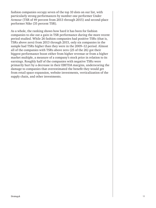fashion companies occupy seven of the top 10 slots on our list, with particularly strong performances by number one performer Under Armour (TSR of 49 percent from 2013 through 2015) and second-place performer Nike (35 percent TSR).

As a whole, the ranking shows how hard it has been for fashion companies to eke out a gain in TSR performance during the more recent period studied. While 26 fashion companies had positive TSRs (that is, TSRs above zero) from 2013 through 2015, only six companies in the sample had TSRs higher than they were in the 2009–12 period. Almost all of the companies with TSRs above zero (25 of the 26) got their biggest performance boost either from higher revenue or from a higher market multiple, a measure of a company's stock price in relation to its earnings. Roughly half of the companies with negative TSRs were primarily hurt by a decrease in their EBITDA margins, underscoring the damage to companies that overestimated the benefit they would get from retail space expansion, website investments, verticalization of the supply chain, and other investments.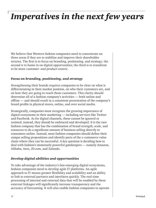# *Imperatives in the next few years*

We believe that Western fashion companies need to concentrate on three areas if they are to stabilize and improve their shareholder returns. The first is to focus on branding, positioning, and strategy; the second is to home in on digital opportunities; the third is to transform to be more customer- and product-centric.

### *Focus on branding, positioning, and strategy*

Strengthening their brands requires companies to be clear on what is differentiating in their market position, on who their customers are, and on how they are going to reach those customers. This clarity should determine all of a fashion company's activities — both online and offline — and should result in a consistent presentation of the company's brand profile in physical stores, online, and over social media.

Strategically, companies must recognize the growing importance of digital ecosystems in their marketing — including services like Twitter and Facebook. As for digital channels, these cannot be ignored or resisted; instead, they should be embraced and developed. It is the rare fashion company that has the combination of brand strength, scale, and resources to do a significant amount of business selling directly to consumers online. Instead, most fashion companies should define their unique selling propositions and identify parts of the e-commerce value chain where they can be successful. A key question is deciding how to deal with fashion's immensely powerful gatekeepers — namely Amazon, Alibaba, Asos, JD.com, and Zalando.

### *Develop digital abilities and opportunities*

To take advantage of the industry's fast-emerging digital ecosystems, fashion companies need to develop agile IT platforms. An agile approach to IT means greater flexibility and scalability and an ability to link to external partners and interfaces quickly. The real-time processing of internal and external data that will be enabled by these external linkages will significantly increase transparency and the accuracy of forecasting. It will also enable fashion companies to operate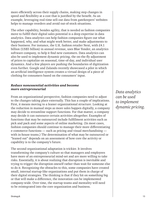more efficiently across their supply chains, making step changes in speed and flexibility at a cost that is justified by the benefit. As an example, leveraging real-time sell-out data from gatekeepers' websites helps to manage reorders and avoid out-of-stock situations.

The other capability, besides agility, that is needed as fashion companies move to fulfill their digital sales potential is a deep expertise in data analytics. Data analytics can help fashion companies figure out what happened, why, and what might work better, and make adjustments to their business. For instance, the U.K. fashion retailer Next, with £4.1 billion (US\$5 billion) in annual revenue, uses Blue Yonder, an analytics software company, to help it find new customers. Data analytics can also be used to implement dynamic pricing, the on-the-fly adjustment of prices to capitalize on seasonal, time-of-day, and individual user dynamics. And a few players are pushing the boundaries of digitization even further. Google and Zalando recently showcased a pilot in which an artificial intelligence system creates a virtual design of a piece of clothing for consumers based on the consumers' input.

### *Reduce nonessential activities and become more entrepreneurial*

From an organizational perspective, fashion companies need to adjust to the changes taking place externally. This has a couple of implications. First, it means moving to a leaner organizational structure. Looking at the reduction in manual steps as more sales happen digitally, a company may decide to streamline support functions. For that matter, a company may decide it can outsource certain activities altogether. Examples of functions that may be outsourced include fulfillment activities such as pick and pack and some aspects of online marketing. (In most cases, fashion companies should continue to manage their more differentiating e-commerce functions — such as pricing and visual merchandising with in-house teams.) The determination of what may be outsourced or "leaned out" depends on an assessment of how core the activity or capability is to the company's future.

The second organizational adaptation is trickier. It involves transforming the company's culture so that managers and employees have more of an entrepreneurial mind-set and are more willing to take risks. Essentially, it is about realizing that disruption is inevitable and trying to trigger the disruption oneself rather than wait for someone else to do it. Recognizing the obstacles to this, some companies have created small, internal startup-like organizations and put them in charge of their digital strategies. The thinking is that if they hit on something big or that will make a difference, the innovation can be implemented company-wide. Over time, the startup teams and mentality will need to be reintegrated into the core organization and business.

*Data analytics can be used to implement dynamic pricing.*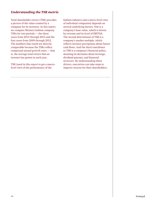### *Understanding the TSR metric*

Total shareholder return (TSR) provides a picture of the value created by a company for its investors. In this report, we compare Western fashion company TSRs for two periods — the three years from 2013 through 2015 and the four years from 2009 through 2012. The numbers that result are directly comparable because the TSRs reflect compound annual growth rates — that is, the average total return that an investor has gotten in each year.

TSR (used in this report to get a macrolevel view of the performance of the

fashion industry and a micro-level view of individual companies) depends on several underlying factors. One is a company's base value, which is driven by revenue and its level of EBITDA. The second determinant of TSR is a company's market multiple, which reflects investor perceptions about future cash flows. And the third contributor to TSR is a company's financial policy, meaning its decisions about leverage, dividend payouts, and financial structure. By understanding these drivers, executives can take steps to improve returns for their shareholders.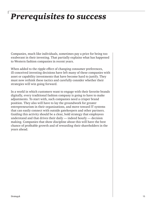# *Prerequisites to success*

Companies, much like individuals, sometimes pay a price for being too exuberant in their investing. That partially explains what has happened to Western fashion companies in recent years.

When added to the ripple effect of changing consumer preferences, ill-conceived investing decisions have left many of these companies with asset or capability investments that have become hard to justify. They must now rethink these tactics and carefully consider whether their strategies will win going forward.

In a world in which customers want to engage with their favorite brands digitally, every traditional fashion company is going to have to make adjustments. To start with, such companies need a crisper brand position. They also will have to lay the groundwork for greater entrepreneurism in their organizations, and move toward IT systems that can easily connect with outside gatekeepers and other partners. Guiding this activity should be a clear, bold strategy that employees understand and that drives their daily — indeed hourly — decision making. Companies that show discipline about this will have the best chance of profitable growth and of rewarding their shareholders in the years ahead.